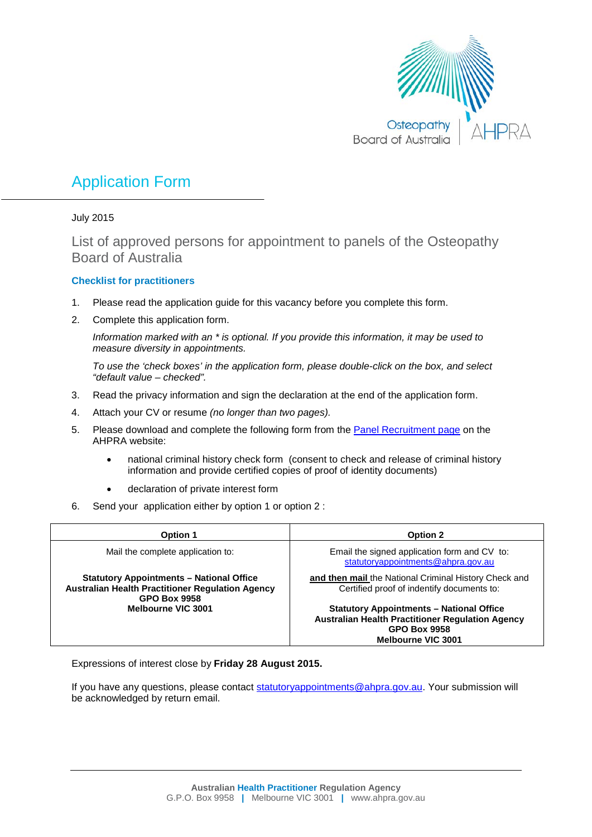

# Application Form

July 2015

List of approved persons for appointment to panels of the Osteopathy Board of Australia

# **Checklist for practitioners**

- 1. Please read the application guide for this vacancy before you complete this form.
- 2. Complete this application form.

*Information marked with an \* is optional. If you provide this information, it may be used to measure diversity in appointments.*

*To use the 'check boxes' in the application form, please double-click on the box, and select "default value – checked".*

- 3. Read the privacy information and sign the declaration at the end of the application form.
- 4. Attach your CV or resume *(no longer than two pages).*
- 5. Please download and complete the following form from th[e Panel Recruitment page](http://www.ahpra.gov.au/National-Boards/Panel-member-recruitment.aspx) on the AHPRA website:
	- national criminal history check form (consent to check and release of criminal history information and provide certified copies of proof of identity documents)
	- declaration of private interest form
- 6. Send your application either by option 1 or option 2 :

| <b>Option 1</b>                                                                                                                   | <b>Option 2</b>                                                                                                                                                |
|-----------------------------------------------------------------------------------------------------------------------------------|----------------------------------------------------------------------------------------------------------------------------------------------------------------|
| Mail the complete application to:                                                                                                 | Email the signed application form and CV to:<br>statutoryappointments@ahpra.gov.au                                                                             |
| <b>Statutory Appointments - National Office</b><br><b>Australian Health Practitioner Regulation Agency</b><br><b>GPO Box 9958</b> | and then mail the National Criminal History Check and<br>Certified proof of indentify documents to:                                                            |
| Melbourne VIC 3001                                                                                                                | <b>Statutory Appointments - National Office</b><br><b>Australian Health Practitioner Regulation Agency</b><br><b>GPO Box 9958</b><br><b>Melbourne VIC 3001</b> |

Expressions of interest close by **Friday 28 August 2015.**

If you have any questions, please contact [statutoryappointments@ahpra.gov.au.](mailto:statutoryappointments@ahpra.gov.au) Your submission will be acknowledged by return email.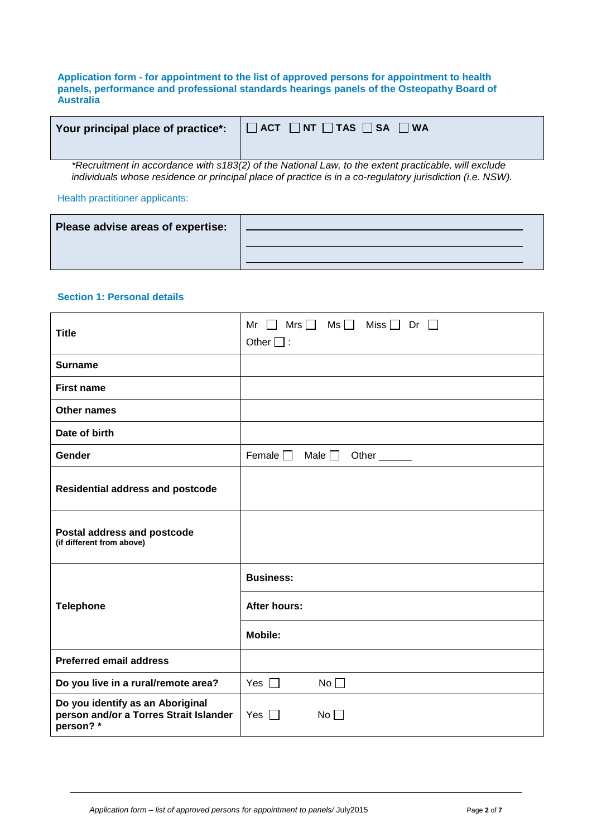**Application form - for appointment to the list of approved persons for appointment to health panels, performance and professional standards hearings panels of the Osteopathy Board of Australia**

| Your principal place of practice*: | $\Box$ ACT $\Box$ NT $\Box$ TAS $\Box$ SA $\Box$ WA |  |
|------------------------------------|-----------------------------------------------------|--|
|                                    |                                                     |  |

*\*Recruitment in accordance with s183(2) of the National Law, to the extent practicable, will exclude individuals whose residence or principal place of practice is in a co-regulatory jurisdiction (i.e. NSW).*

Health practitioner applicants:

| Please advise areas of expertise: |  |
|-----------------------------------|--|
|                                   |  |

## **Section 1: Personal details**

| <b>Title</b>                                                                           | $\mathsf{Mrs} \ \Box \quad \mathsf{Ms} \ \Box \quad \mathsf{Miss} \ \Box$<br>Dr $\Box$<br>Mr<br>Other $\square$ : |
|----------------------------------------------------------------------------------------|-------------------------------------------------------------------------------------------------------------------|
| <b>Surname</b>                                                                         |                                                                                                                   |
| <b>First name</b>                                                                      |                                                                                                                   |
| Other names                                                                            |                                                                                                                   |
| Date of birth                                                                          |                                                                                                                   |
| Gender                                                                                 | Female $\Box$<br>Male $\square$<br>Other                                                                          |
| <b>Residential address and postcode</b>                                                |                                                                                                                   |
| Postal address and postcode<br>(if different from above)                               |                                                                                                                   |
|                                                                                        | <b>Business:</b>                                                                                                  |
| <b>Telephone</b>                                                                       | <b>After hours:</b>                                                                                               |
|                                                                                        | <b>Mobile:</b>                                                                                                    |
| <b>Preferred email address</b>                                                         |                                                                                                                   |
| Do you live in a rural/remote area?                                                    | Yes $\Box$<br>No                                                                                                  |
| Do you identify as an Aboriginal<br>person and/or a Torres Strait Islander<br>person?* | Yes $\Box$<br>No                                                                                                  |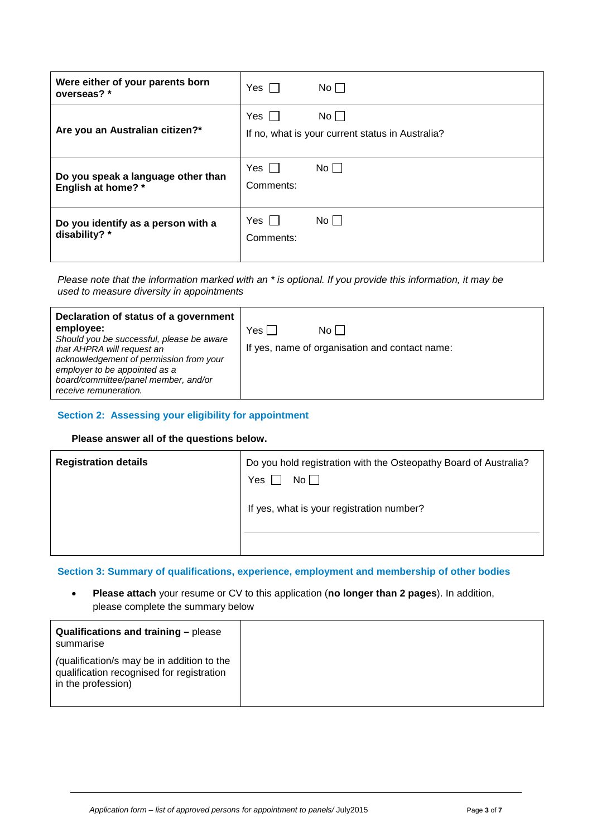| Were either of your parents born<br>overseas? *          | $Yes$                   | $No$ $ $                                                        |
|----------------------------------------------------------|-------------------------|-----------------------------------------------------------------|
| Are you an Australian citizen?*                          | Yes                     | $No$ $\Box$<br>If no, what is your current status in Australia? |
| Do you speak a language other than<br>English at home? * | Yes $\Box$<br>Comments: | No II                                                           |
| Do you identify as a person with a<br>disability? *      | Yes<br>Comments:        | No L                                                            |

*Please note that the information marked with an \* is optional. If you provide this information, it may be used to measure diversity in appointments*

| Declaration of status of a government<br>employee:                                                                                             | Yes l | Noll                                           |
|------------------------------------------------------------------------------------------------------------------------------------------------|-------|------------------------------------------------|
| Should you be successful, please be aware                                                                                                      |       | If yes, name of organisation and contact name: |
| that AHPRA will request an<br>acknowledgement of permission from your<br>employer to be appointed as a<br>board/committee/panel member, and/or |       |                                                |
| receive remuneration.                                                                                                                          |       |                                                |

#### **Section 2: Assessing your eligibility for appointment**

#### **Please answer all of the questions below.**

| <b>Registration details</b> | Do you hold registration with the Osteopathy Board of Australia?<br>Yes<br>No |  |
|-----------------------------|-------------------------------------------------------------------------------|--|
|                             | If yes, what is your registration number?                                     |  |
|                             |                                                                               |  |

**Section 3: Summary of qualifications, experience, employment and membership of other bodies**

• **Please attach** your resume or CV to this application (**no longer than 2 pages**). In addition, please complete the summary below

| Qualifications and training - please<br>summarise                                                             |
|---------------------------------------------------------------------------------------------------------------|
| (qualification/s may be in addition to the<br>qualification recognised for registration<br>in the profession) |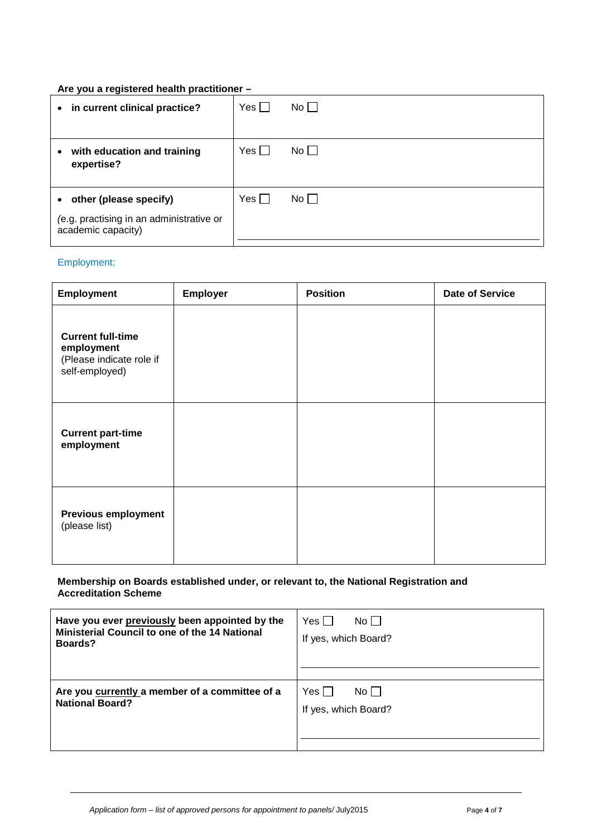## **Are you a registered health practitioner –**

| in current clinical practice?<br>$\bullet$                                                            | $Yes$  | No          |
|-------------------------------------------------------------------------------------------------------|--------|-------------|
| with education and training<br>$\bullet$<br>expertise?                                                | Yes II | $No$ $\Box$ |
| other (please specify)<br>$\bullet$<br>(e.g. practising in an administrative or<br>academic capacity) | Yes I  | $No$ $\Box$ |

# Employment:

| <b>Employment</b>                                                                    | Employer | <b>Position</b> | <b>Date of Service</b> |
|--------------------------------------------------------------------------------------|----------|-----------------|------------------------|
| <b>Current full-time</b><br>employment<br>(Please indicate role if<br>self-employed) |          |                 |                        |
| <b>Current part-time</b><br>employment                                               |          |                 |                        |
| <b>Previous employment</b><br>(please list)                                          |          |                 |                        |

#### **Membership on Boards established under, or relevant to, the National Registration and Accreditation Scheme**

| Have you ever previously been appointed by the                           | $No$                                   |
|--------------------------------------------------------------------------|----------------------------------------|
| <b>Ministerial Council to one of the 14 National</b>                     | Yes                                    |
| Boards?                                                                  | If yes, which Board?                   |
| Are you currently a member of a committee of a<br><b>National Board?</b> | Yes I<br>No II<br>If yes, which Board? |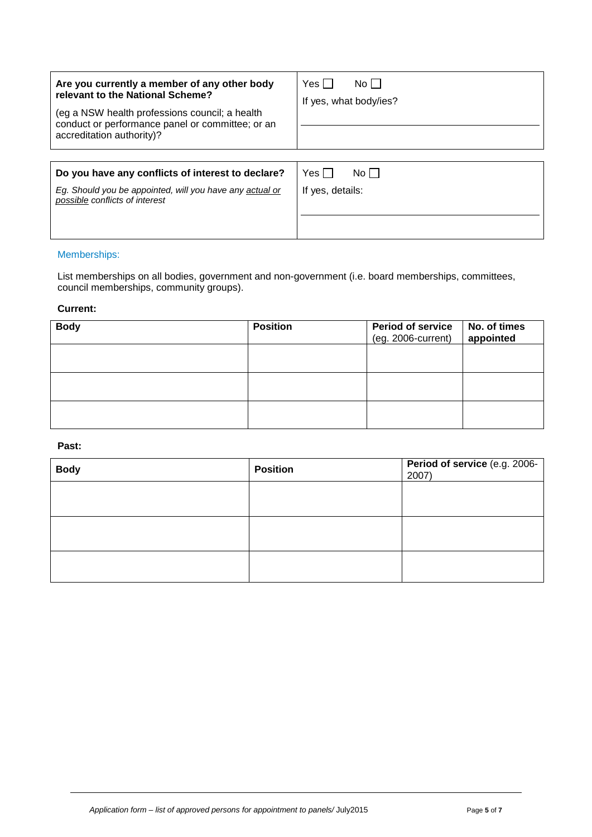| Are you currently a member of any other body<br>relevant to the National Scheme?<br>(eg a NSW health professions council; a health<br>conduct or performance panel or committee; or an<br>accreditation authority)? | No H<br>Yes l<br>If yes, what body/ies? |
|---------------------------------------------------------------------------------------------------------------------------------------------------------------------------------------------------------------------|-----------------------------------------|
|                                                                                                                                                                                                                     |                                         |
| Do you have any conflicts of interest to declare?                                                                                                                                                                   | Yes II<br>No L I                        |
| Eq. Should you be appointed, will you have any actual or<br>possible conflicts of interest                                                                                                                          | If yes, details:                        |
|                                                                                                                                                                                                                     |                                         |

#### Memberships:

List memberships on all bodies, government and non-government (i.e. board memberships, committees, council memberships, community groups).

#### **Current:**

| <b>Body</b> | <b>Position</b> | <b>Period of service</b><br>(eg. 2006-current) | No. of times<br>appointed |
|-------------|-----------------|------------------------------------------------|---------------------------|
|             |                 |                                                |                           |
|             |                 |                                                |                           |
|             |                 |                                                |                           |

#### **Past:**

| <b>Body</b> | <b>Position</b> | Period of service (e.g. 2006-<br>2007) |
|-------------|-----------------|----------------------------------------|
|             |                 |                                        |
|             |                 |                                        |
|             |                 |                                        |
|             |                 |                                        |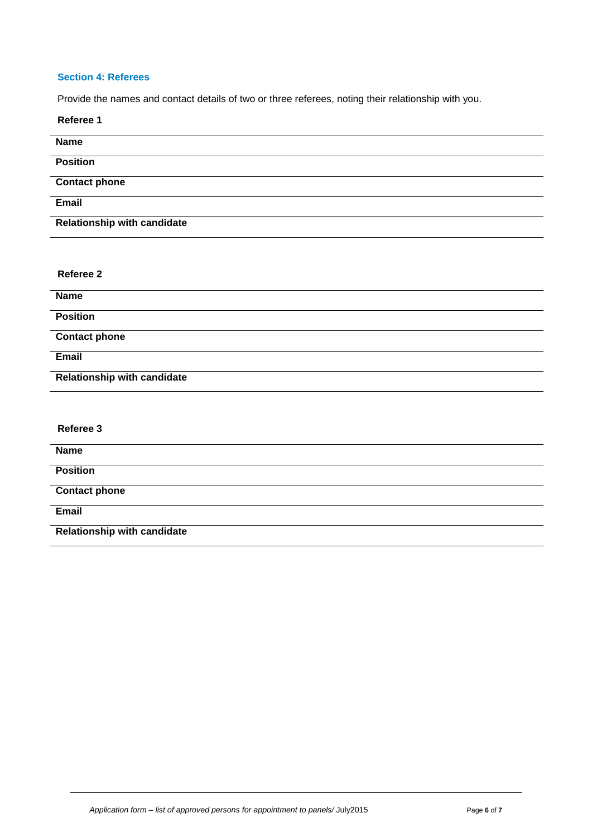# **Section 4: Referees**

Provide the names and contact details of two or three referees, noting their relationship with you.

| Referee 1                          |
|------------------------------------|
| <b>Name</b>                        |
| <b>Position</b>                    |
| <b>Contact phone</b>               |
| Email                              |
| <b>Relationship with candidate</b> |
|                                    |
| Referee 2                          |
|                                    |
| <b>Name</b>                        |
| <b>Position</b>                    |
| <b>Contact phone</b>               |
| Email                              |
| <b>Relationship with candidate</b> |
|                                    |
| Referee 3                          |
| <b>Name</b>                        |
| <b>Position</b>                    |
| <b>Contact phone</b>               |
| <b>Email</b>                       |
| <b>Relationship with candidate</b> |